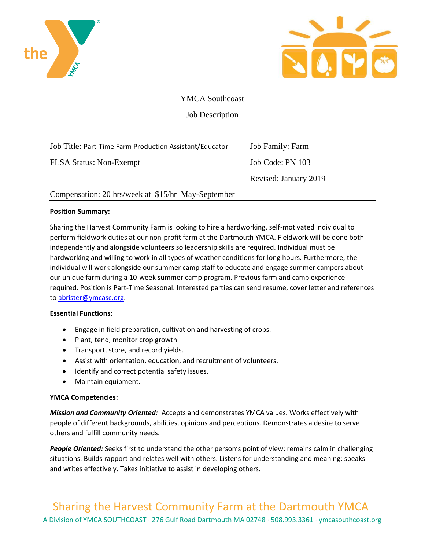



YMCA Southcoast

Job Description

Job Title: Part-Time Farm Production Assistant/Educator Job Family: Farm FLSA Status: Non-Exempt Job Code: PN 103 Revised: January 2019

# Compensation: 20 hrs/week at \$15/hr May-September

## **Position Summary:**

Sharing the Harvest Community Farm is looking to hire a hardworking, self-motivated individual to perform fieldwork duties at our non-profit farm at the Dartmouth YMCA. Fieldwork will be done both independently and alongside volunteers so leadership skills are required. Individual must be hardworking and willing to work in all types of weather conditions for long hours. Furthermore, the individual will work alongside our summer camp staff to educate and engage summer campers about our unique farm during a 10-week summer camp program. Previous farm and camp experience required. Position is Part-Time Seasonal. Interested parties can send resume, cover letter and references to [abrister@ymcasc.org.](mailto:abrister@ymcasc.org)

### **Essential Functions:**

- Engage in field preparation, cultivation and harvesting of crops.
- Plant, tend, monitor crop growth
- Transport, store, and record yields.
- Assist with orientation, education, and recruitment of volunteers.
- Identify and correct potential safety issues.
- Maintain equipment.

# **YMCA Competencies:**

*Mission and Community Oriented:* Accepts and demonstrates YMCA values. Works effectively with people of different backgrounds, abilities, opinions and perceptions. Demonstrates a desire to serve others and fulfill community needs.

*People Oriented:* Seeks first to understand the other person's point of view; remains calm in challenging situations. Builds rapport and relates well with others. Listens for understanding and meaning: speaks and writes effectively. Takes initiative to assist in developing others.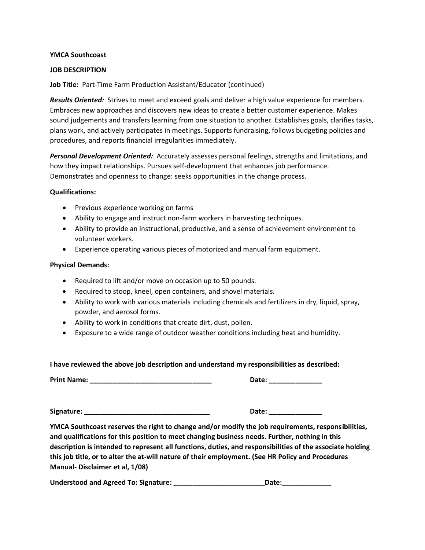#### **YMCA Southcoast**

#### **JOB DESCRIPTION**

**Job Title:** Part-Time Farm Production Assistant/Educator (continued)

*Results Oriented:* Strives to meet and exceed goals and deliver a high value experience for members. Embraces new approaches and discovers new ideas to create a better customer experience. Makes sound judgements and transfers learning from one situation to another. Establishes goals, clarifies tasks, plans work, and actively participates in meetings. Supports fundraising, follows budgeting policies and procedures, and reports financial irregularities immediately.

*Personal Development Oriented:* Accurately assesses personal feelings, strengths and limitations, and how they impact relationships. Pursues self-development that enhances job performance. Demonstrates and openness to change: seeks opportunities in the change process.

#### **Qualifications:**

- Previous experience working on farms
- Ability to engage and instruct non-farm workers in harvesting techniques.
- Ability to provide an instructional, productive, and a sense of achievement environment to volunteer workers.
- Experience operating various pieces of motorized and manual farm equipment.

#### **Physical Demands:**

- Required to lift and/or move on occasion up to 50 pounds.
- Required to stoop, kneel, open containers, and shovel materials.
- Ability to work with various materials including chemicals and fertilizers in dry, liquid, spray, powder, and aerosol forms.
- Ability to work in conditions that create dirt, dust, pollen.
- Exposure to a wide range of outdoor weather conditions including heat and humidity.

### **I have reviewed the above job description and understand my responsibilities as described:**

**Print Name: \_\_\_\_\_\_\_\_\_\_\_\_\_\_\_\_\_\_\_\_\_\_\_\_\_\_\_\_\_\_\_\_ Date: \_\_\_\_\_\_\_\_\_\_\_\_\_\_**

**Signature: \_\_\_\_\_\_\_\_\_\_\_\_\_\_\_\_\_\_\_\_\_\_\_\_\_\_\_\_\_\_\_\_\_ Date: \_\_\_\_\_\_\_\_\_\_\_\_\_\_**

**YMCA Southcoast reserves the right to change and/or modify the job requirements, responsibilities, and qualifications for this position to meet changing business needs. Further, nothing in this description is intended to represent all functions, duties, and responsibilities of the associate holding this job title, or to alter the at-will nature of their employment. (See HR Policy and Procedures Manual- Disclaimer et al, 1/08)**

Understood and Agreed To: Signature: **We are all assets a large set of the United States** Date: